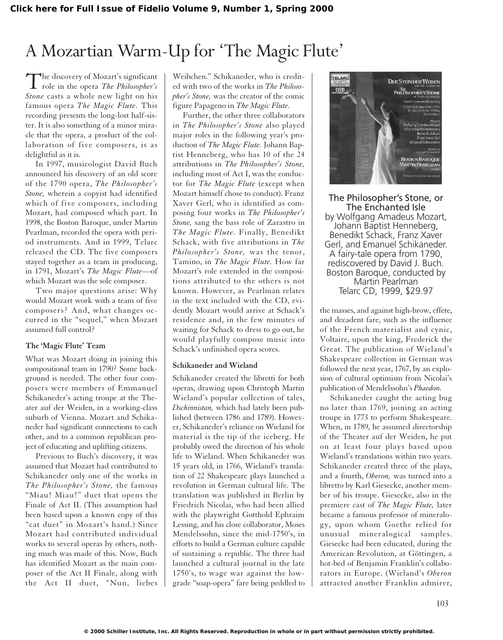# A Mozartian Warm-Up for 'The Magic Flute'

The discovery of Mozart's significant<br>role in the opera *The Philosopher's Stone* casts a whole new light on his famous opera *The Magic Flute.* This recording presents the long-lost half-sister. It is also something of a minor miracle that the opera, a product of the collaboration of five composers, is as delightful as it is.

In 1997, musicologist David Buch announced his discovery of an old score of the 1790 opera, *The Philosopher's Stone,* wherein a copyist had identified which of five composers, including Mozart, had composed which part. In 1998, the Boston Baroque, under Martin Pearlman, recorded the opera with period instruments. And in 1999, Telarc released the CD. The five composers stayed together as a team in producing, in 1791, Mozart's *The Magic Flute*—of which Mozart was the sole composer.

Two major questions arise: Why would Mozart work with a team of five composers? And, what changes occurred in the "sequel," when Mozart assumed full control?

# **The 'Magic Flute' Team**

What was Mozart doing in joining this compositional team in 1790? Some background is needed. The other four composers were members of Emmanuel Schikaneder's acting troupe at the Theater auf der Weiden, in a working-class suburb of Vienna. Mozart and Schikaneder had significant connections to each other, and to a common republican project of educating and uplifting citizens.

Previous to Buch's discovery, it was assumed that Mozart had contributed to Schikaneder only one of the works in *The Philosopher's Stone,* the famous "Miau! Miau!" duet that opens the Finale of Act II. (This assumption had been based upon a known copy of this "cat duet" in Mozart's hand.) Since Mozart had contributed individual works to several operas by others, nothing much was made of this. Now, Buch has identified Mozart as the main composer of the Act II Finale, along with the Act II duet, "Nun, liebes

Weibchen." Schikaneder, who is credited with two of the works in *The Philosopher's Stone,* was the creator of the comic figure Papageno in *The Magic Flute.*

Further, the other three collaborators in *The Philosopher's Stone* also played major roles in the following year's production of *The Magic Flute.* Johann Baptist Henneberg, who has 10 of the 24 attributions in *The Philosopher's Stone,* including most of Act I, was the conductor for *The Magic Flute* (except when Mozart himself chose to conduct). Franz Xaver Gerl, who is identified as composing four works in *The Philosopher's Stone,* sang the bass role of Zarastro in *The Magic Flute.* Finally, Benedikt Schack, with five attributions in *The Philosopher's Stone,* was the tenor, Tamino, in *The Magic Flute.* How far Mozart's role extended in the compositions attributed to the others is not known. However, as Pearlman relates in the text included with the CD, evidently Mozart would arrive at Schack's residence and, in the few minutes of waiting for Schack to dress to go out, he would playfully compose music into Schack's unfinished opera scores.

### **Schikaneder and Wieland**

Schikaneder created the libretti for both operas, drawing upon Christoph Martin Wieland's popular collection of tales, *Dschinnistan,* which had lately been published (between 1786 and 1789). However, Schikaneder's reliance on Wieland for material is the tip of the iceberg. He probably owed the direction of his whole life to Wieland. When Schikaneder was 15 years old, in 1766, Wieland's translation of 22 Shakespeare plays launched a revolution in German cultural life. The translation was published in Berlin by Friedrich Nicolai, who had been allied with the playwright Gotthold Ephraim Lessing, and his close collaborator, Moses Mendelssohn, since the mid-1750's, in efforts to build a German culture capable of sustaining a republic. The three had launched a cultural journal in the late 1750's, to wage war against the lowgrade "soap-opera" fare being peddled to



The Philosopher's Stone, or The Enchanted Isle by Wolfgang Amadeus Mozart, Johann Baptist Henneberg, Benedikt Schack, Franz Xaver Gerl, and Emanuel Schikaneder. A fairy-tale opera from 1790, rediscovered by David J. Buch. Boston Baroque, conducted by Martin Pearlman Telarc CD, 1999, \$29.97

the masses, and against high-brow, effete, and decadent fare, such as the influence of the French materialist and cynic, Voltaire, upon the king, Frederick the Great. The publication of Wieland's Shakespeare collection in German was followed the next year, 1767, by an explosion of cultural optimism from Nicolai's publication of Mendelssohn's *Phaedon.*

Schikaneder caught the acting bug no later than 1769, joining an acting troupe in 1773 to perform Shakespeare. When, in 1789, he assumed directorship of the Theater auf der Weiden, he put on at least four plays based upon Wieland's translations within two years. Schikaneder created three of the plays, and a fourth, *Oberon,* was turned into a libretto by Karl Giesecke, another member of his troupe. Giesecke, also in the premiere cast of *The Magic Flute,* later became a famous professor of mineralogy, upon whom Goethe relied for unusual mineralogical samples. Giesecke had been educated, during the American Revolution, at Göttingen, a hot-bed of Benjamin Franklin's collaborators in Europe. (Wieland's *Oberon* attracted another Franklin admirer,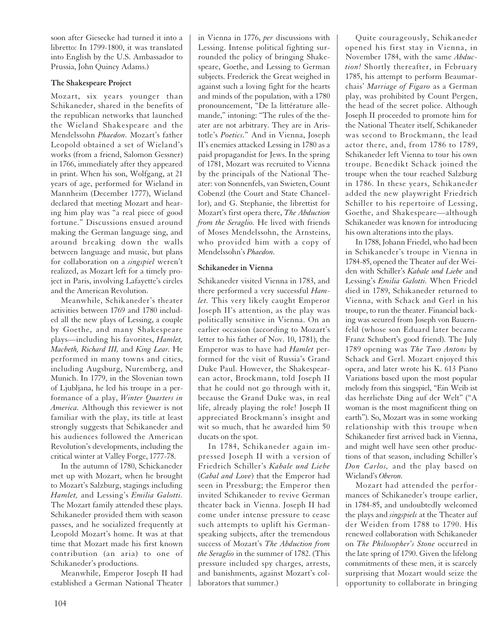soon after Giesecke had turned it into a libretto: In 1799-1800, it was translated into English by the U.S. Ambassador to Prussia, John Quincy Adams.)

# **The Shakespeare Project**

Mozart, six years younger than Schikaneder, shared in the benefits of the republican networks that launched the Wieland Shakespeare and the Mendelssohn *Phaedon.* Mozart's father Leopold obtained a set of Wieland's works (from a friend, Salomon Gessner) in 1766, immediately after they appeared in print. When his son, Wolfgang, at 21 years of age, performed for Wieland in Mannheim (December 1777), Wieland declared that meeting Mozart and hearing him play was "a real piece of good fortune." Discussions ensued around making the German language sing, and around breaking down the walls between language and music, but plans for collaboration on a *singspiel* weren't realized, as Mozart left for a timely project in Paris, involving Lafayette's circles and the American Revolution.

Meanwhile, Schikaneder's theater activities between 1769 and 1780 included all the new plays of Lessing, a couple by Goethe, and many Shakespeare plays—including his favorites, *Hamlet, Macbeth, Richard III,* and *King Lear.* He performed in many towns and cities, including Augsburg, Nuremberg, and Munich. In 1779, in the Slovenian town of Ljubljana, he led his troupe in a performance of a play, *Winter Quarters in America.* Although this reviewer is not familiar with the play, its title at least strongly suggests that Schikaneder and his audiences followed the American Revolution's developments, including the critical winter at Valley Forge, 1777-78.

In the autumn of 1780, Schickaneder met up with Mozart, when he brought to Mozart's Salzburg, stagings including *Hamlet,* and Lessing's *Emilia Galotti.* The Mozart family attended these plays. Schikaneder provided them with season passes, and he socialized frequently at Leopold Mozart's home. It was at that time that Mozart made his first known contribution (an aria) to one of Schikaneder's productions.

Meanwhile, Emperor Joseph II had established a German National Theater

in Vienna in 1776, *per* discussions with Lessing. Intense political fighting surrounded the policy of bringing Shakespeare, Goethe, and Lessing to German subjects. Frederick the Great weighed in against such a loving fight for the hearts and minds of the population, with a 1780 pronouncement, "De la littérature allemande," intoning: "The rules of the theater are not arbitrary. They are in Aristotle's *Poetics.*" And in Vienna, Joseph II's enemies attacked Lessing in 1780 as a paid propagandist for Jews. In the spring of 1781, Mozart was recruited to Vienna by the principals of the National Theater: von Sonnenfels, van Swieten, Count Cobenzl (the Court and State Chancellor), and G. Stephanie, the librettist for Mozart's first opera there, *The Abduction from the Seraglio.* He lived with friends of Moses Mendelssohn, the Arnsteins, who provided him with a copy of Mendelssohn's *Phaedon.*

# **Schikaneder in Vienna**

Schikaneder visited Vienna in 1783, and there performed a very successful *Hamlet.* This very likely caught Emperor Joseph II's attention, as the play was politically sensitive in Vienna. On an earlier occasion (according to Mozart's letter to his father of Nov. 10, 1781), the Emperor was to have had *Hamlet* performed for the visit of Russia's Grand Duke Paul. However, the Shakespearean actor, Brockmann, told Joseph II that he could not go through with it, because the Grand Duke was, in real life, already playing the role! Joseph II appreciated Brockmann's insight and wit so much, that he awarded him 50 ducats on the spot.

In 1784, Schikaneder again impressed Joseph II with a version of Friedrich Schiller's *Kabale und Liebe* (*Cabal and Love*) that the Emperor had seen in Pressburg; the Emperor then invited Schikaneder to revive German theater back in Vienna. Joseph II had come under intense pressure to cease such attempts to uplift his Germanspeaking subjects, after the tremendous success of Mozart's *The Abduction from the Seraglio* in the summer of 1782. (This pressure included spy charges, arrests, and banishments, against Mozart's collaborators that summer.)

Quite courageously, Schikaneder opened his first stay in Vienna, in November 1784, with the same *Abduction!* Shortly thereafter, in February 1785, his attempt to perform Beaumarchais' *Marriage of Figaro* as a German play, was prohibited by Count Pergen, the head of the secret police. Although Joseph II proceeded to promote him for the National Theater itself, Schikaneder was second to Brockmann, the lead actor there, and, from 1786 to 1789, Schikaneder left Vienna to tour his own troupe. Benedikt Schack joined the troupe when the tour reached Salzburg in 1786. In these years, Schikaneder added the new playwright Friedrich Schiller to his repertoire of Lessing, Goethe, and Shakespeare—although Schikaneder was known for introducing his own alterations into the plays.

In 1788, Johann Friedel, who had been in Schikaneder's troupe in Vienna in 1784-85, opened the Theater auf der Weiden with Schiller's *Kabale und Liebe* and Lessing's *Emilia Galotti.* When Friedel died in 1789, Schikaneder returned to Vienna, with Schack and Gerl in his troupe, to run the theater. Financial backing was secured from Joseph von Bauernfeld (whose son Eduard later became Franz Schubert's good friend). The July 1789 opening was *The Two Antons* by Schack and Gerl. Mozart enjoyed this opera, and later wrote his K. 613 Piano Variations based upon the most popular melody from this singspiel, "Ein Weib ist das herrlichste Ding auf der Welt" ("A woman is the most magnificent thing on earth"). So, Mozart was in some working relationship with this troupe when Schikaneder first arrived back in Vienna, and might well have seen other productions of that season, including Schiller's *Don Carlos,* and the play based on Wieland's *Oberon.*

Mozart had attended the performances of Schikaneder's troupe earlier, in 1784-85, and undoubtedly welcomed the plays and *singspiels* at the Theater auf der Weiden from 1788 to 1790. His renewed collaboration with Schikaneder on *The Philosopher's Stone* occurred in the late spring of 1790. Given the lifelong commitments of these men, it is scarcely surprising that Mozart would seize the opportunity to collaborate in bringing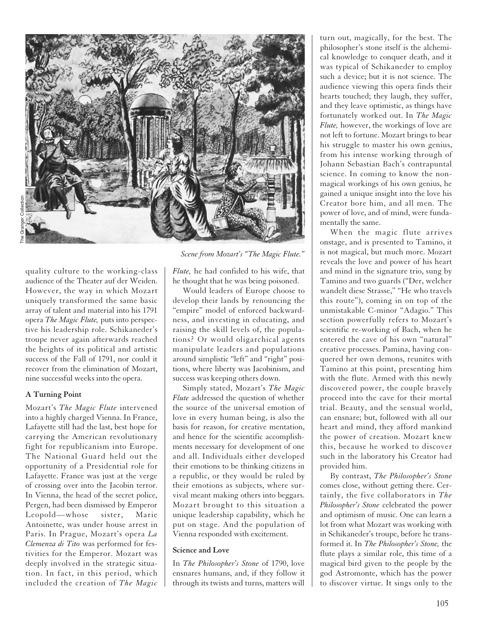

quality culture to the working-class audience of the Theater auf der Weiden. However, the way in which Mozart uniquely transformed the same basic array of talent and material into his 1791 opera *The Magic Flute,* puts into perspective his leadership role. Schikaneder's troupe never again afterwards reached the heights of its political and artistic success of the Fall of 1791, nor could it recover from the elimination of Mozart, nine successful weeks into the opera.

#### **A Turning Point**

Mozart's *The Magic Flute* intervened into a highly charged Vienna. In France, Lafayette still had the last, best hope for carrying the American revolutionary fight for republicanism into Europe. The National Guard held out the opportunity of a Presidential role for Lafayette. France was just at the verge of crossing over into the Jacobin terror. In Vienna, the head of the secret police, Pergen, had been dismissed by Emperor Leopold—whose sister, Marie Antoinette, was under house arrest in Paris. In Prague, Mozart's opera *La Clemenza di Tito* was performed for festivities for the Emperor. Mozart was deeply involved in the strategic situation. In fact, in this period, which included the creation of *The Magic*

*Scene from Mozart's "The Magic Flute."*

*Flute,* he had confided to his wife, that he thought that he was being poisoned.

Would leaders of Europe choose to develop their lands by renouncing the "empire" model of enforced backwardness, and investing in educating, and raising the skill levels of, the populations? Or would oligarchical agents manipulate leaders and populations around simplistic "left" and "right" positions, where liberty was Jacobinism, and success was keeping others down.

Simply stated, Mozart's *The Magic Flute* addressed the question of whether the source of the universal emotion of love in every human being, is also the basis for reason, for creative mentation, and hence for the scientific accomplishments necessary for development of one and all. Individuals either developed their emotions to be thinking citizens in a republic, or they would be ruled by their emotions as subjects, where survival meant making others into beggars. Mozart brought to this situation a unique leadership capability, which he put on stage. And the population of Vienna responded with excitement.

#### **Science and Love**

In *The Philosopher's Stone* of 1790, love ensnares humans, and, if they follow it through its twists and turns, matters will turn out, magically, for the best. The philosopher's stone itself is the alchemical knowledge to conquer death, and it was typical of Schikaneder to employ such a device; but it is not science. The audience viewing this opera finds their hearts touched; they laugh, they suffer, and they leave optimistic, as things have fortunately worked out. In *The Magic Flute,* however, the workings of love are not left to fortune. Mozart brings to bear his struggle to master his own genius, from his intense working through of Johann Sebastian Bach's contrapuntal science. In coming to know the nonmagical workings of his own genius, he gained a unique insight into the love his Creator bore him, and all men. The power of love, and of mind, were fundamentally the same.

When the magic flute arrives onstage, and is presented to Tamino, it is not magical, but much more. Mozart reveals the love and power of his heart and mind in the signature trio, sung by Tamino and two guards ("Der, welcher wandelt diese Strasse," "He who travels this route"), coming in on top of the unmistakable C-minor "Adagio." This section powerfully refers to Mozart's scientific re-working of Bach, when he entered the cave of his own "natural" creative processes. Pamina, having conquered her own demons, reunites with Tamino at this point, presenting him with the flute. Armed with this newly discovered power, the couple bravely proceed into the cave for their mortal trial. Beauty, and the sensual world, can ensnare; but, followed with all our heart and mind, they afford mankind the power of creation. Mozart knew this, because he worked to discover such in the laboratory his Creator had provided him.

By contrast, *The Philosopher's Stone* comes close, without getting there. Certainly, the five collaborators in *The Philosopher's Stone* celebrated the power and optimism of music. One can learn a lot from what Mozart was working with in Schikaneder's troupe, before he transformed it. In *The Philosopher's Stone,* the flute plays a similar role, this time of a magical bird given to the people by the god Astromonte, which has the power to discover virtue. It sings only to the